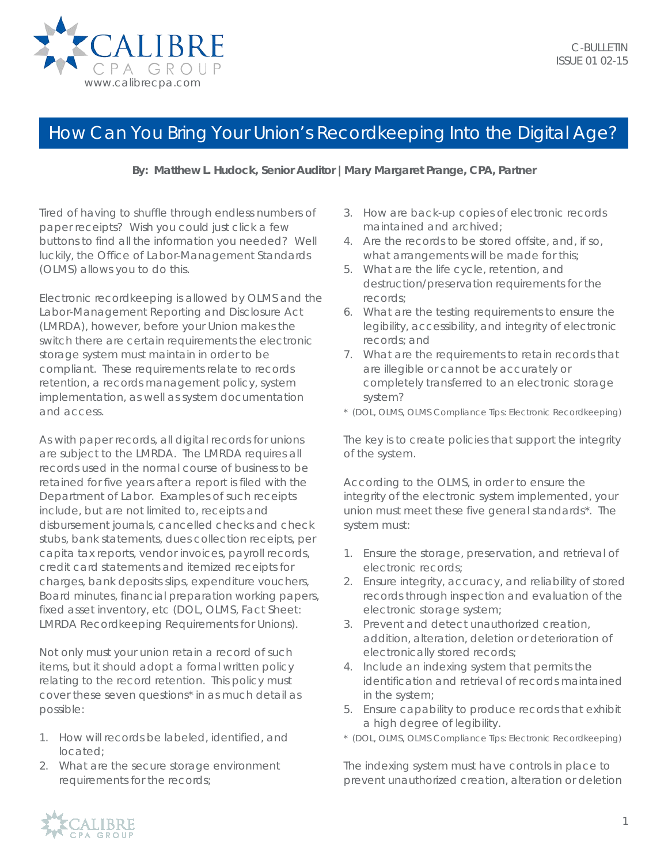

## How Can You Bring Your Union's Recordkeeping Into the Digital Age?

## **By: Matthew L. Hudock, Senior Auditor |Mary Margaret Prange, CPA, Partner**

Tired of having to shuffle through endless numbers of paper receipts? Wish you could just click a few buttons to find all the information you needed? Well luckily, the Office of Labor-Management Standards (OLMS) allows you to do this.

Electronic recordkeeping is allowed by OLMS and the Labor-Management Reporting and Disclosure Act (LMRDA), however, before your Union makes the switch there are certain requirements the electronic storage system must maintain in order to be compliant. These requirements relate to records retention, a records management policy, system implementation, as well as system documentation and access.

As with paper records, all digital records for unions are subject to the LMRDA. The LMRDA requires all records used in the normal course of business to be retained for five years after a report is filed with the Department of Labor. Examples of such receipts include, but are not limited to, receipts and disbursement journals, cancelled checks and check stubs, bank statements, dues collection receipts, per capita tax reports, vendor invoices, payroll records, credit card statements and itemized receipts for charges, bank deposits slips, expenditure vouchers, Board minutes, financial preparation working papers, fixed asset inventory, etc (DOL, OLMS, *Fact Sheet: LMRDA Recordkeeping Requirements for Unions).*

Not only must your union retain a record of such items, but it should adopt a formal written policy relating to the record retention. This policy must cover these seven questions\* in as much detail as possible:

- 1. How will records be labeled, identified, and located;
- 2. What are the secure storage environment requirements for the records;
- 3. How are back-up copies of electronic records maintained and archived;
- 4. Are the records to be stored offsite, and, if so, what arrangements will be made for this;
- 5. What are the life cycle, retention, and destruction/preservation requirements for the records;
- 6. What are the testing requirements to ensure the legibility, accessibility, and integrity of electronic records; and
- 7. What are the requirements to retain records that are illegible or cannot be accurately or completely transferred to an electronic storage system?
- \* (DOL, OLMS, *OLMS Compliance Tips*: *Electronic Recordkeeping*)

The key is to create policies that support the integrity of the system.

According to the OLMS, in order to ensure the integrity of the electronic system implemented, your union must meet these five general standards\*. The system must:

- 1. Ensure the storage, preservation, and retrieval of electronic records;
- 2. Ensure integrity, accuracy, and reliability of stored records through inspection and evaluation of the electronic storage system;
- 3. Prevent and detect unauthorized creation, addition, alteration, deletion or deterioration of electronically stored records;
- 4. Include an indexing system that permits the identification and retrieval of records maintained in the system;
- 5. Ensure capability to produce records that exhibit a high degree of legibility.
- \* (DOL, OLMS, *OLMS Compliance Tips*: *Electronic Recordkeeping*)

The indexing system must have controls in place to prevent unauthorized creation, alteration or deletion